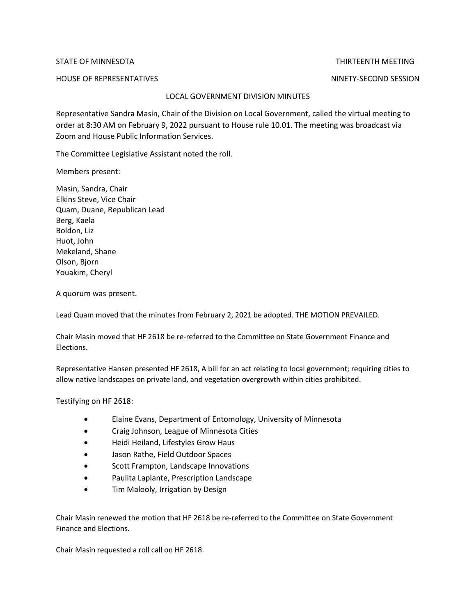STATE OF MINNESOTA THIRTEENTH MEETING

HOUSE OF REPRESENTATIVES NINETY-SECOND SESSION

## LOCAL GOVERNMENT DIVISION MINUTES

Representative Sandra Masin, Chair of the Division on Local Government, called the virtual meeting to order at 8:30 AM on February 9, 2022 pursuant to House rule 10.01. The meeting was broadcast via Zoom and House Public Information Services.

The Committee Legislative Assistant noted the roll.

Members present:

Masin, Sandra, Chair Elkins Steve, Vice Chair Quam, Duane, Republican Lead Berg, Kaela Boldon, Liz Huot, John Mekeland, Shane Olson, Bjorn Youakim, Cheryl

A quorum was present.

Lead Quam moved that the minutes from February 2, 2021 be adopted. THE MOTION PREVAILED.

Chair Masin moved that HF 2618 be re-referred to the Committee on State Government Finance and Elections.

Representative Hansen presented HF 2618, A bill for an act relating to local government; requiring cities to allow native landscapes on private land, and vegetation overgrowth within cities prohibited.

Testifying on HF 2618:

- Elaine Evans, Department of Entomology, University of Minnesota
- Craig Johnson, League of Minnesota Cities
- Heidi Heiland, Lifestyles Grow Haus
- Jason Rathe, Field Outdoor Spaces
- Scott Frampton, Landscape Innovations
- Paulita Laplante, Prescription Landscape
- Tim Malooly, Irrigation by Design

Chair Masin renewed the motion that HF 2618 be re-referred to the Committee on State Government Finance and Elections.

Chair Masin requested a roll call on HF 2618.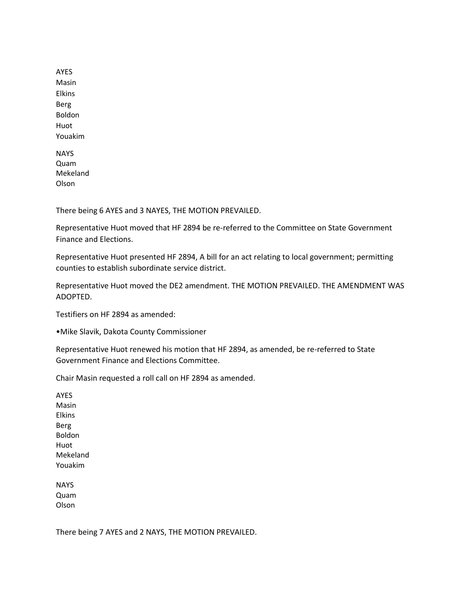AYES Masin Elkins Berg Boldon Huot Youakim NAYS Quam Mekeland

Olson

There being 6 AYES and 3 NAYES, THE MOTION PREVAILED.

Representative Huot moved that HF 2894 be re-referred to the Committee on State Government Finance and Elections.

Representative Huot presented HF 2894, A bill for an act relating to local government; permitting counties to establish subordinate service district.

Representative Huot moved the DE2 amendment. THE MOTION PREVAILED. THE AMENDMENT WAS ADOPTED.

Testifiers on HF 2894 as amended:

•Mike Slavik, Dakota County Commissioner

Representative Huot renewed his motion that HF 2894, as amended, be re-referred to State Government Finance and Elections Committee.

Chair Masin requested a roll call on HF 2894 as amended.

AYES Masin Elkins Berg Boldon Huot Mekeland Youakim

**NAYS** Quam Olson

There being 7 AYES and 2 NAYS, THE MOTION PREVAILED.